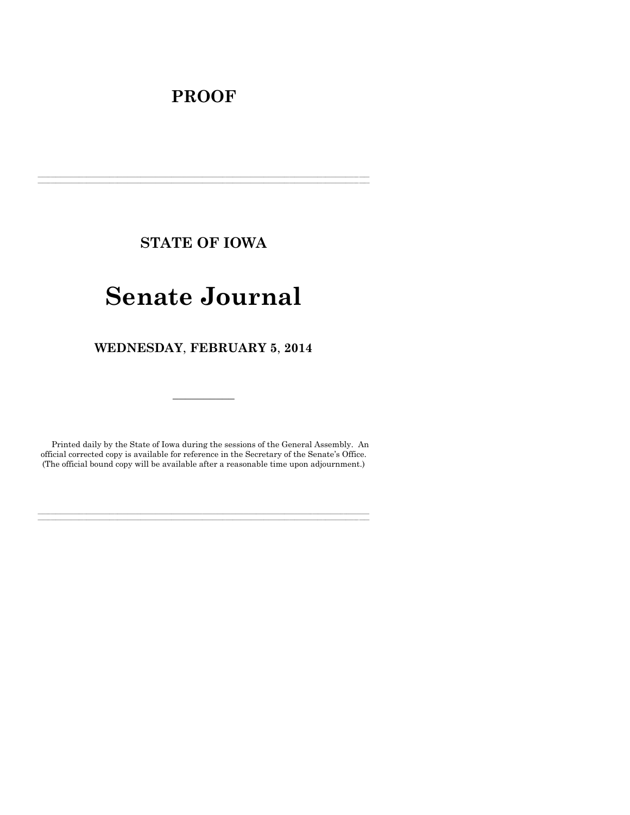## **PROOF**

**STATE OF IOWA**

**\_\_\_\_\_\_\_\_\_\_\_\_\_\_\_\_\_\_\_\_\_\_\_\_\_\_\_\_\_\_\_\_\_\_\_\_\_\_\_\_\_\_\_\_\_\_\_\_\_\_\_\_\_\_\_\_\_\_\_\_\_\_\_\_\_\_\_\_\_\_\_\_\_\_\_\_\_\_\_\_\_\_\_\_\_\_\_\_\_\_\_\_\_\_\_\_\_\_\_\_\_\_\_\_\_\_\_\_\_\_\_\_\_\_\_\_\_\_\_\_\_\_\_\_\_\_\_\_\_ \_\_\_\_\_\_\_\_\_\_\_\_\_\_\_\_\_\_\_\_\_\_\_\_\_\_\_\_\_\_\_\_\_\_\_\_\_\_\_\_\_\_\_\_\_\_\_\_\_\_\_\_\_\_\_\_\_\_\_\_\_\_\_\_\_\_\_\_\_\_\_\_\_\_\_\_\_\_\_\_\_\_\_\_\_\_\_\_\_\_\_\_\_\_\_\_\_\_\_\_\_\_\_\_\_\_\_\_\_\_\_\_\_\_\_\_\_\_\_\_\_\_\_\_\_\_\_\_\_**

# **Senate Journal**

**WEDNESDAY**, **FEBRUARY 5**, **2014**

Printed daily by the State of Iowa during the sessions of the General Assembly. An official corrected copy is available for reference in the Secretary of the Senate's Office. (The official bound copy will be available after a reasonable time upon adjournment.)

**\_\_\_\_\_\_\_\_\_\_\_\_\_\_\_\_\_\_\_\_\_\_\_\_\_\_\_\_\_\_\_\_\_\_\_\_\_\_\_\_\_\_\_\_\_\_\_\_\_\_\_\_\_\_\_\_\_\_\_\_\_\_\_\_\_\_\_\_\_\_\_\_\_\_\_\_\_\_\_\_\_\_\_\_\_\_\_\_\_\_\_\_\_\_\_\_\_\_\_\_\_\_\_\_\_\_\_\_\_\_\_\_\_\_\_\_\_\_\_\_\_\_\_\_\_\_\_\_\_ \_\_\_\_\_\_\_\_\_\_\_\_\_\_\_\_\_\_\_\_\_\_\_\_\_\_\_\_\_\_\_\_\_\_\_\_\_\_\_\_\_\_\_\_\_\_\_\_\_\_\_\_\_\_\_\_\_\_\_\_\_\_\_\_\_\_\_\_\_\_\_\_\_\_\_\_\_\_\_\_\_\_\_\_\_\_\_\_\_\_\_\_\_\_\_\_\_\_\_\_\_\_\_\_\_\_\_\_\_\_\_\_\_\_\_\_\_\_\_\_\_\_\_\_\_\_\_\_\_**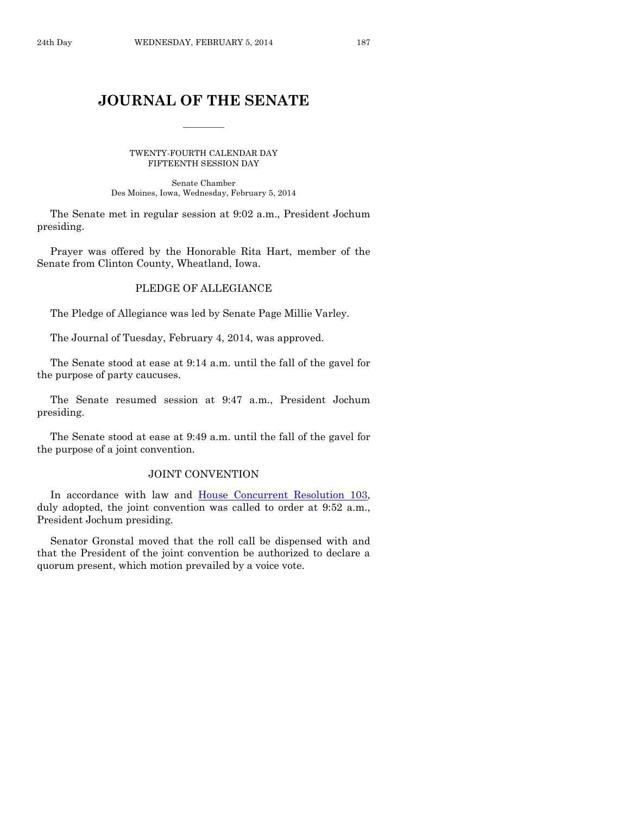## **JOURNAL OF THE SENATE**

 $\frac{1}{2}$ 

TWENTY-FOURTH CALENDAR DAY FIFTEENTH SESSION DAY

Senate Chamber Des Moines, Iowa, Wednesday, February 5, 2014

The Senate met in regular session at 9:02 a.m., President Jochum presiding.

Prayer was offered by the Honorable Rita Hart, member of the Senate from Clinton County, Wheatland, Iowa.

## PLEDGE OF ALLEGIANCE

The Pledge of Allegiance was led by Senate Page Millie Varley.

The Journal of Tuesday, February 4, 2014, was approved.

The Senate stood at ease at 9:14 a.m. until the fall of the gavel for the purpose of party caucuses.

The Senate resumed session at 9:47 a.m., President Jochum presiding.

The Senate stood at ease at 9:49 a.m. until the fall of the gavel for the purpose of a joint convention.

## JOINT CONVENTION

In accordance with law and [House Concurrent Resolution 103,](http://coolice.legis.iowa.gov/Cool-ICE/default.asp?Category=billinfo&Service=Billbook&frame=1&GA=85&hbill=HCR103) duly adopted, the joint convention was called to order at 9:52 a.m., President Jochum presiding.

Senator Gronstal moved that the roll call be dispensed with and that the President of the joint convention be authorized to declare a quorum present, which motion prevailed by a voice vote.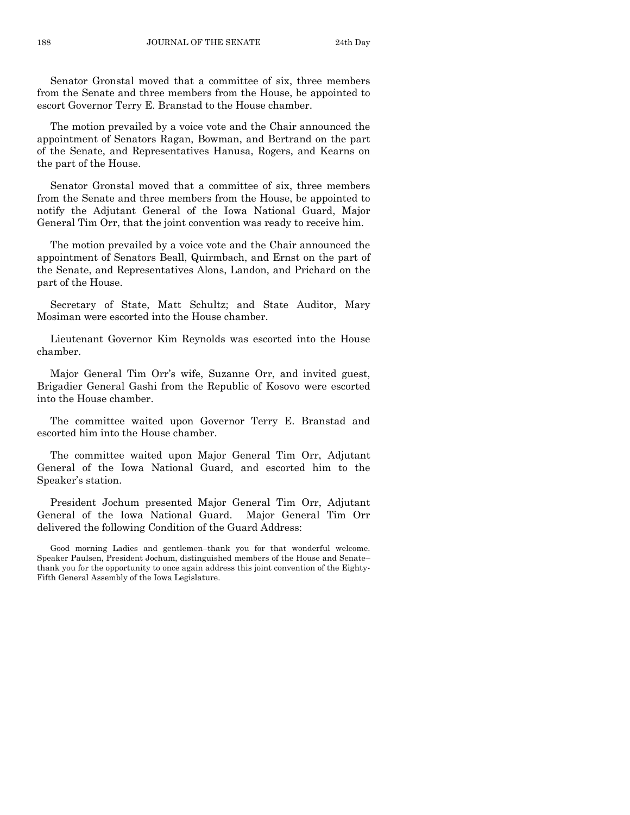Senator Gronstal moved that a committee of six, three members from the Senate and three members from the House, be appointed to escort Governor Terry E. Branstad to the House chamber.

The motion prevailed by a voice vote and the Chair announced the appointment of Senators Ragan, Bowman, and Bertrand on the part of the Senate, and Representatives Hanusa, Rogers, and Kearns on the part of the House.

Senator Gronstal moved that a committee of six, three members from the Senate and three members from the House, be appointed to notify the Adjutant General of the Iowa National Guard, Major General Tim Orr, that the joint convention was ready to receive him.

The motion prevailed by a voice vote and the Chair announced the appointment of Senators Beall, Quirmbach, and Ernst on the part of the Senate, and Representatives Alons, Landon, and Prichard on the part of the House.

Secretary of State, Matt Schultz; and State Auditor, Mary Mosiman were escorted into the House chamber.

Lieutenant Governor Kim Reynolds was escorted into the House chamber.

Major General Tim Orr's wife, Suzanne Orr, and invited guest, Brigadier General Gashi from the Republic of Kosovo were escorted into the House chamber.

The committee waited upon Governor Terry E. Branstad and escorted him into the House chamber.

The committee waited upon Major General Tim Orr, Adjutant General of the Iowa National Guard, and escorted him to the Speaker's station.

President Jochum presented Major General Tim Orr, Adjutant General of the Iowa National Guard. Major General Tim Orr delivered the following Condition of the Guard Address:

Good morning Ladies and gentlemen–thank you for that wonderful welcome. Speaker Paulsen, President Jochum, distinguished members of the House and Senate– thank you for the opportunity to once again address this joint convention of the Eighty-Fifth General Assembly of the Iowa Legislature.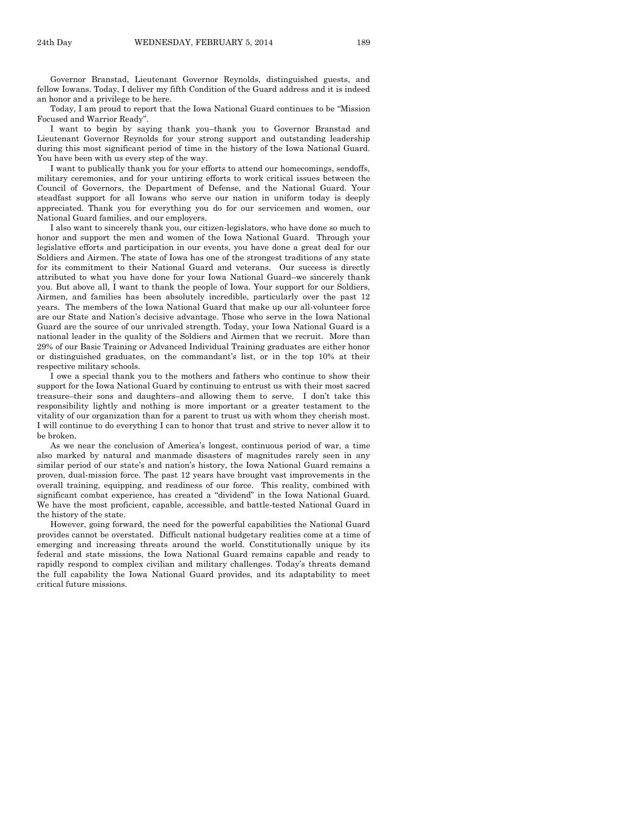Governor Branstad, Lieutenant Governor Reynolds, distinguished guests, and fellow Iowans. Today, I deliver my fifth Condition of the Guard address and it is indeed an honor and a privilege to be here.

Today, I am proud to report that the Iowa National Guard continues to be "Mission Focused and Warrior Ready".

I want to begin by saying thank you–thank you to Governor Branstad and Lieutenant Governor Reynolds for your strong support and outstanding leadership during this most significant period of time in the history of the Iowa National Guard. You have been with us every step of the way.

I want to publically thank you for your efforts to attend our homecomings, sendoffs, military ceremonies, and for your untiring efforts to work critical issues between the Council of Governors, the Department of Defense, and the National Guard. Your steadfast support for all Iowans who serve our nation in uniform today is deeply appreciated. Thank you for everything you do for our servicemen and women, our National Guard families, and our employers.

I also want to sincerely thank you, our citizen-legislators, who have done so much to honor and support the men and women of the Iowa National Guard. Through your legislative efforts and participation in our events, you have done a great deal for our Soldiers and Airmen. The state of Iowa has one of the strongest traditions of any state for its commitment to their National Guard and veterans. Our success is directly attributed to what you have done for your Iowa National Guard–we sincerely thank you. But above all, I want to thank the people of Iowa. Your support for our Soldiers, Airmen, and families has been absolutely incredible, particularly over the past 12 years. The members of the Iowa National Guard that make up our all-volunteer force are our State and Nation's decisive advantage. Those who serve in the Iowa National Guard are the source of our unrivaled strength. Today, your Iowa National Guard is a national leader in the quality of the Soldiers and Airmen that we recruit. More than 29% of our Basic Training or Advanced Individual Training graduates are either honor or distinguished graduates, on the commandant's list, or in the top 10% at their respective military schools.

I owe a special thank you to the mothers and fathers who continue to show their support for the Iowa National Guard by continuing to entrust us with their most sacred treasure–their sons and daughters–and allowing them to serve. I don't take this responsibility lightly and nothing is more important or a greater testament to the vitality of our organization than for a parent to trust us with whom they cherish most. I will continue to do everything I can to honor that trust and strive to never allow it to be broken.

As we near the conclusion of America's longest, continuous period of war, a time also marked by natural and manmade disasters of magnitudes rarely seen in any similar period of our state's and nation's history, the Iowa National Guard remains a proven, dual-mission force. The past 12 years have brought vast improvements in the overall training, equipping, and readiness of our force. This reality, combined with significant combat experience, has created a "dividend" in the Iowa National Guard. We have the most proficient, capable, accessible, and battle-tested National Guard in the history of the state.

However, going forward, the need for the powerful capabilities the National Guard provides cannot be overstated. Difficult national budgetary realities come at a time of emerging and increasing threats around the world. Constitutionally unique by its federal and state missions, the Iowa National Guard remains capable and ready to rapidly respond to complex civilian and military challenges. Today's threats demand the full capability the Iowa National Guard provides, and its adaptability to meet critical future missions.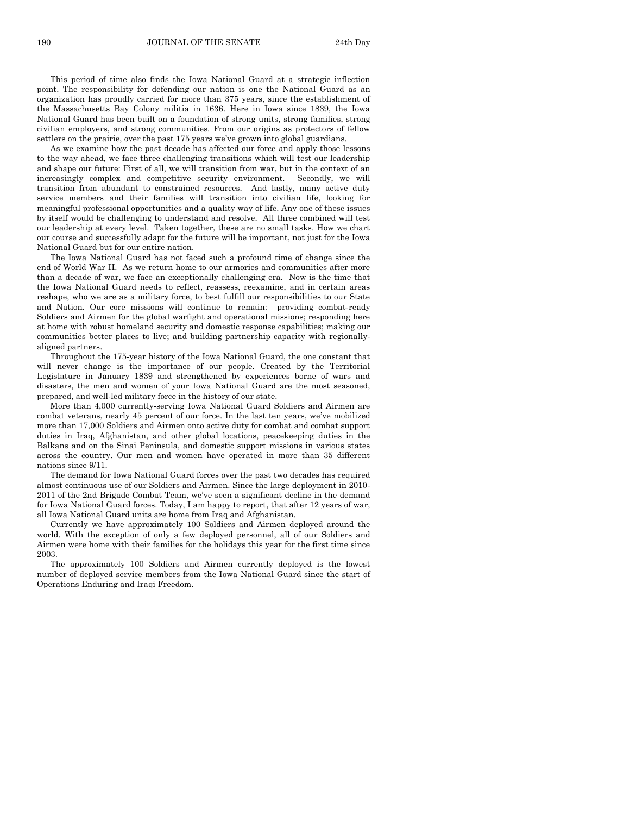This period of time also finds the Iowa National Guard at a strategic inflection point. The responsibility for defending our nation is one the National Guard as an organization has proudly carried for more than 375 years, since the establishment of the Massachusetts Bay Colony militia in 1636. Here in Iowa since 1839, the Iowa National Guard has been built on a foundation of strong units, strong families, strong civilian employers, and strong communities. From our origins as protectors of fellow settlers on the prairie, over the past 175 years we've grown into global guardians.

As we examine how the past decade has affected our force and apply those lessons to the way ahead, we face three challenging transitions which will test our leadership and shape our future: First of all, we will transition from war, but in the context of an increasingly complex and competitive security environment. Secondly, we will transition from abundant to constrained resources. And lastly, many active duty service members and their families will transition into civilian life, looking for meaningful professional opportunities and a quality way of life. Any one of these issues by itself would be challenging to understand and resolve. All three combined will test our leadership at every level. Taken together, these are no small tasks. How we chart our course and successfully adapt for the future will be important, not just for the Iowa National Guard but for our entire nation.

The Iowa National Guard has not faced such a profound time of change since the end of World War II. As we return home to our armories and communities after more than a decade of war, we face an exceptionally challenging era. Now is the time that the Iowa National Guard needs to reflect, reassess, reexamine, and in certain areas reshape, who we are as a military force, to best fulfill our responsibilities to our State and Nation. Our core missions will continue to remain: providing combat-ready Soldiers and Airmen for the global warfight and operational missions; responding here at home with robust homeland security and domestic response capabilities; making our communities better places to live; and building partnership capacity with regionallyaligned partners.

Throughout the 175-year history of the Iowa National Guard, the one constant that will never change is the importance of our people. Created by the Territorial Legislature in January 1839 and strengthened by experiences borne of wars and disasters, the men and women of your Iowa National Guard are the most seasoned, prepared, and well-led military force in the history of our state.

More than 4,000 currently-serving Iowa National Guard Soldiers and Airmen are combat veterans, nearly 45 percent of our force. In the last ten years, we've mobilized more than 17,000 Soldiers and Airmen onto active duty for combat and combat support duties in Iraq, Afghanistan, and other global locations, peacekeeping duties in the Balkans and on the Sinai Peninsula, and domestic support missions in various states across the country. Our men and women have operated in more than 35 different nations since 9/11.

The demand for Iowa National Guard forces over the past two decades has required almost continuous use of our Soldiers and Airmen. Since the large deployment in 2010- 2011 of the 2nd Brigade Combat Team, we've seen a significant decline in the demand for Iowa National Guard forces. Today, I am happy to report, that after 12 years of war, all Iowa National Guard units are home from Iraq and Afghanistan.

Currently we have approximately 100 Soldiers and Airmen deployed around the world. With the exception of only a few deployed personnel, all of our Soldiers and Airmen were home with their families for the holidays this year for the first time since 2003.

The approximately 100 Soldiers and Airmen currently deployed is the lowest number of deployed service members from the Iowa National Guard since the start of Operations Enduring and Iraqi Freedom.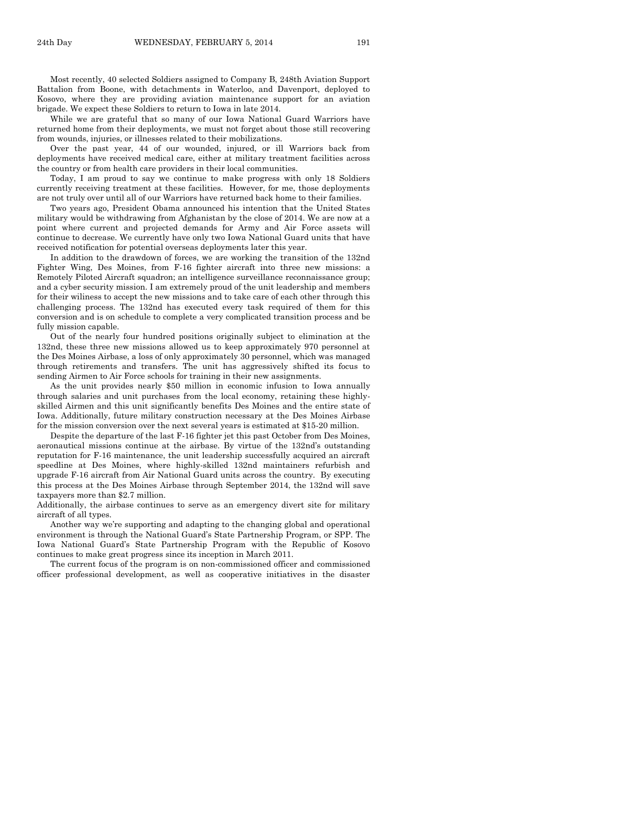While we are grateful that so many of our Iowa National Guard Warriors have returned home from their deployments, we must not forget about those still recovering from wounds, injuries, or illnesses related to their mobilizations.

Over the past year, 44 of our wounded, injured, or ill Warriors back from deployments have received medical care, either at military treatment facilities across the country or from health care providers in their local communities.

Today, I am proud to say we continue to make progress with only 18 Soldiers currently receiving treatment at these facilities. However, for me, those deployments are not truly over until all of our Warriors have returned back home to their families.

Two years ago, President Obama announced his intention that the United States military would be withdrawing from Afghanistan by the close of 2014. We are now at a point where current and projected demands for Army and Air Force assets will continue to decrease. We currently have only two Iowa National Guard units that have received notification for potential overseas deployments later this year.

In addition to the drawdown of forces, we are working the transition of the 132nd Fighter Wing, Des Moines, from F-16 fighter aircraft into three new missions: a Remotely Piloted Aircraft squadron; an intelligence surveillance reconnaissance group; and a cyber security mission. I am extremely proud of the unit leadership and members for their wiliness to accept the new missions and to take care of each other through this challenging process. The 132nd has executed every task required of them for this conversion and is on schedule to complete a very complicated transition process and be fully mission capable.

Out of the nearly four hundred positions originally subject to elimination at the 132nd, these three new missions allowed us to keep approximately 970 personnel at the Des Moines Airbase, a loss of only approximately 30 personnel, which was managed through retirements and transfers. The unit has aggressively shifted its focus to sending Airmen to Air Force schools for training in their new assignments.

As the unit provides nearly \$50 million in economic infusion to Iowa annually through salaries and unit purchases from the local economy, retaining these highlyskilled Airmen and this unit significantly benefits Des Moines and the entire state of Iowa. Additionally, future military construction necessary at the Des Moines Airbase for the mission conversion over the next several years is estimated at \$15-20 million.

Despite the departure of the last F-16 fighter jet this past October from Des Moines, aeronautical missions continue at the airbase. By virtue of the 132nd's outstanding reputation for F-16 maintenance, the unit leadership successfully acquired an aircraft speedline at Des Moines, where highly-skilled 132nd maintainers refurbish and upgrade F-16 aircraft from Air National Guard units across the country. By executing this process at the Des Moines Airbase through September 2014, the 132nd will save taxpayers more than \$2.7 million.

Additionally, the airbase continues to serve as an emergency divert site for military aircraft of all types.

Another way we're supporting and adapting to the changing global and operational environment is through the National Guard's State Partnership Program, or SPP. The Iowa National Guard's State Partnership Program with the Republic of Kosovo continues to make great progress since its inception in March 2011.

The current focus of the program is on non-commissioned officer and commissioned officer professional development, as well as cooperative initiatives in the disaster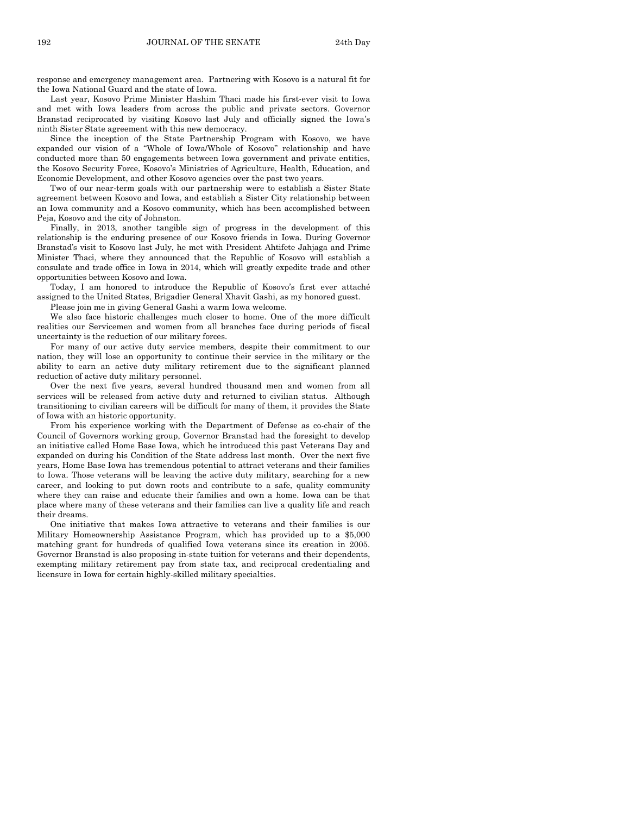response and emergency management area. Partnering with Kosovo is a natural fit for the Iowa National Guard and the state of Iowa.

Last year, Kosovo Prime Minister Hashim Thaci made his first-ever visit to Iowa and met with Iowa leaders from across the public and private sectors. Governor Branstad reciprocated by visiting Kosovo last July and officially signed the Iowa's ninth Sister State agreement with this new democracy.

Since the inception of the State Partnership Program with Kosovo, we have expanded our vision of a "Whole of Iowa/Whole of Kosovo" relationship and have conducted more than 50 engagements between Iowa government and private entities, the Kosovo Security Force, Kosovo's Ministries of Agriculture, Health, Education, and Economic Development, and other Kosovo agencies over the past two years.

Two of our near-term goals with our partnership were to establish a Sister State agreement between Kosovo and Iowa, and establish a Sister City relationship between an Iowa community and a Kosovo community, which has been accomplished between Peja, Kosovo and the city of Johnston.

Finally, in 2013, another tangible sign of progress in the development of this relationship is the enduring presence of our Kosovo friends in Iowa. During Governor Branstad's visit to Kosovo last July, he met with President Ahtifete Jahjaga and Prime Minister Thaci, where they announced that the Republic of Kosovo will establish a consulate and trade office in Iowa in 2014, which will greatly expedite trade and other opportunities between Kosovo and Iowa.

Today, I am honored to introduce the Republic of Kosovo's first ever attaché assigned to the United States, Brigadier General Xhavit Gashi, as my honored guest.

Please join me in giving General Gashi a warm Iowa welcome.

We also face historic challenges much closer to home. One of the more difficult realities our Servicemen and women from all branches face during periods of fiscal uncertainty is the reduction of our military forces.

For many of our active duty service members, despite their commitment to our nation, they will lose an opportunity to continue their service in the military or the ability to earn an active duty military retirement due to the significant planned reduction of active duty military personnel.

Over the next five years, several hundred thousand men and women from all services will be released from active duty and returned to civilian status. Although transitioning to civilian careers will be difficult for many of them, it provides the State of Iowa with an historic opportunity.

From his experience working with the Department of Defense as co-chair of the Council of Governors working group, Governor Branstad had the foresight to develop an initiative called Home Base Iowa, which he introduced this past Veterans Day and expanded on during his Condition of the State address last month. Over the next five years, Home Base Iowa has tremendous potential to attract veterans and their families to Iowa. Those veterans will be leaving the active duty military, searching for a new career, and looking to put down roots and contribute to a safe, quality community where they can raise and educate their families and own a home. Iowa can be that place where many of these veterans and their families can live a quality life and reach their dreams.

One initiative that makes Iowa attractive to veterans and their families is our Military Homeownership Assistance Program, which has provided up to a \$5,000 matching grant for hundreds of qualified Iowa veterans since its creation in 2005. Governor Branstad is also proposing in-state tuition for veterans and their dependents, exempting military retirement pay from state tax, and reciprocal credentialing and licensure in Iowa for certain highly-skilled military specialties.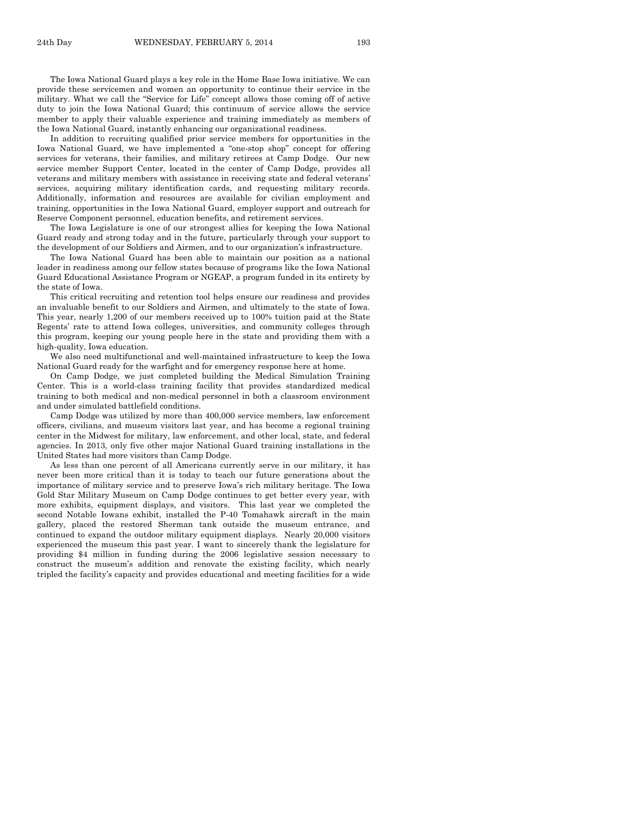The Iowa National Guard plays a key role in the Home Base Iowa initiative. We can provide these servicemen and women an opportunity to continue their service in the military. What we call the "Service for Life" concept allows those coming off of active duty to join the Iowa National Guard; this continuum of service allows the service member to apply their valuable experience and training immediately as members of the Iowa National Guard, instantly enhancing our organizational readiness.

In addition to recruiting qualified prior service members for opportunities in the Iowa National Guard, we have implemented a "one-stop shop" concept for offering services for veterans, their families, and military retirees at Camp Dodge. Our new service member Support Center, located in the center of Camp Dodge, provides all veterans and military members with assistance in receiving state and federal veterans' services, acquiring military identification cards, and requesting military records. Additionally, information and resources are available for civilian employment and training, opportunities in the Iowa National Guard, employer support and outreach for Reserve Component personnel, education benefits, and retirement services.

The Iowa Legislature is one of our strongest allies for keeping the Iowa National Guard ready and strong today and in the future, particularly through your support to the development of our Soldiers and Airmen, and to our organization's infrastructure.

The Iowa National Guard has been able to maintain our position as a national leader in readiness among our fellow states because of programs like the Iowa National Guard Educational Assistance Program or NGEAP, a program funded in its entirety by the state of Iowa.

This critical recruiting and retention tool helps ensure our readiness and provides an invaluable benefit to our Soldiers and Airmen, and ultimately to the state of Iowa. This year, nearly 1,200 of our members received up to 100% tuition paid at the State Regents' rate to attend Iowa colleges, universities, and community colleges through this program, keeping our young people here in the state and providing them with a high-quality, Iowa education.

We also need multifunctional and well-maintained infrastructure to keep the Iowa National Guard ready for the warfight and for emergency response here at home.

On Camp Dodge, we just completed building the Medical Simulation Training Center. This is a world-class training facility that provides standardized medical training to both medical and non-medical personnel in both a classroom environment and under simulated battlefield conditions.

Camp Dodge was utilized by more than 400,000 service members, law enforcement officers, civilians, and museum visitors last year, and has become a regional training center in the Midwest for military, law enforcement, and other local, state, and federal agencies. In 2013, only five other major National Guard training installations in the United States had more visitors than Camp Dodge.

As less than one percent of all Americans currently serve in our military, it has never been more critical than it is today to teach our future generations about the importance of military service and to preserve Iowa's rich military heritage. The Iowa Gold Star Military Museum on Camp Dodge continues to get better every year, with more exhibits, equipment displays, and visitors. This last year we completed the second Notable Iowans exhibit, installed the P-40 Tomahawk aircraft in the main gallery, placed the restored Sherman tank outside the museum entrance, and continued to expand the outdoor military equipment displays. Nearly 20,000 visitors experienced the museum this past year. I want to sincerely thank the legislature for providing \$4 million in funding during the 2006 legislative session necessary to construct the museum's addition and renovate the existing facility, which nearly tripled the facility's capacity and provides educational and meeting facilities for a wide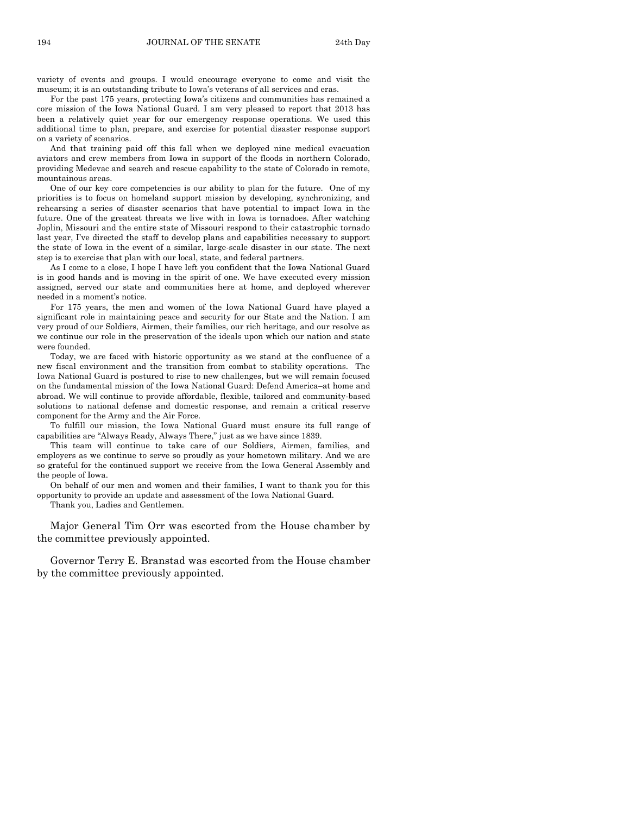variety of events and groups. I would encourage everyone to come and visit the museum; it is an outstanding tribute to Iowa's veterans of all services and eras.

For the past 175 years, protecting Iowa's citizens and communities has remained a core mission of the Iowa National Guard. I am very pleased to report that 2013 has been a relatively quiet year for our emergency response operations. We used this additional time to plan, prepare, and exercise for potential disaster response support on a variety of scenarios.

And that training paid off this fall when we deployed nine medical evacuation aviators and crew members from Iowa in support of the floods in northern Colorado, providing Medevac and search and rescue capability to the state of Colorado in remote, mountainous areas.

One of our key core competencies is our ability to plan for the future. One of my priorities is to focus on homeland support mission by developing, synchronizing, and rehearsing a series of disaster scenarios that have potential to impact Iowa in the future. One of the greatest threats we live with in Iowa is tornadoes. After watching Joplin, Missouri and the entire state of Missouri respond to their catastrophic tornado last year, I've directed the staff to develop plans and capabilities necessary to support the state of Iowa in the event of a similar, large-scale disaster in our state. The next step is to exercise that plan with our local, state, and federal partners.

As I come to a close, I hope I have left you confident that the Iowa National Guard is in good hands and is moving in the spirit of one. We have executed every mission assigned, served our state and communities here at home, and deployed wherever needed in a moment's notice.

For 175 years, the men and women of the Iowa National Guard have played a significant role in maintaining peace and security for our State and the Nation. I am very proud of our Soldiers, Airmen, their families, our rich heritage, and our resolve as we continue our role in the preservation of the ideals upon which our nation and state were founded.

Today, we are faced with historic opportunity as we stand at the confluence of a new fiscal environment and the transition from combat to stability operations. The Iowa National Guard is postured to rise to new challenges, but we will remain focused on the fundamental mission of the Iowa National Guard: Defend America–at home and abroad. We will continue to provide affordable, flexible, tailored and community-based solutions to national defense and domestic response, and remain a critical reserve component for the Army and the Air Force.

To fulfill our mission, the Iowa National Guard must ensure its full range of capabilities are "Always Ready, Always There," just as we have since 1839.

This team will continue to take care of our Soldiers, Airmen, families, and employers as we continue to serve so proudly as your hometown military. And we are so grateful for the continued support we receive from the Iowa General Assembly and the people of Iowa.

On behalf of our men and women and their families, I want to thank you for this opportunity to provide an update and assessment of the Iowa National Guard.

Thank you, Ladies and Gentlemen.

Major General Tim Orr was escorted from the House chamber by the committee previously appointed.

Governor Terry E. Branstad was escorted from the House chamber by the committee previously appointed.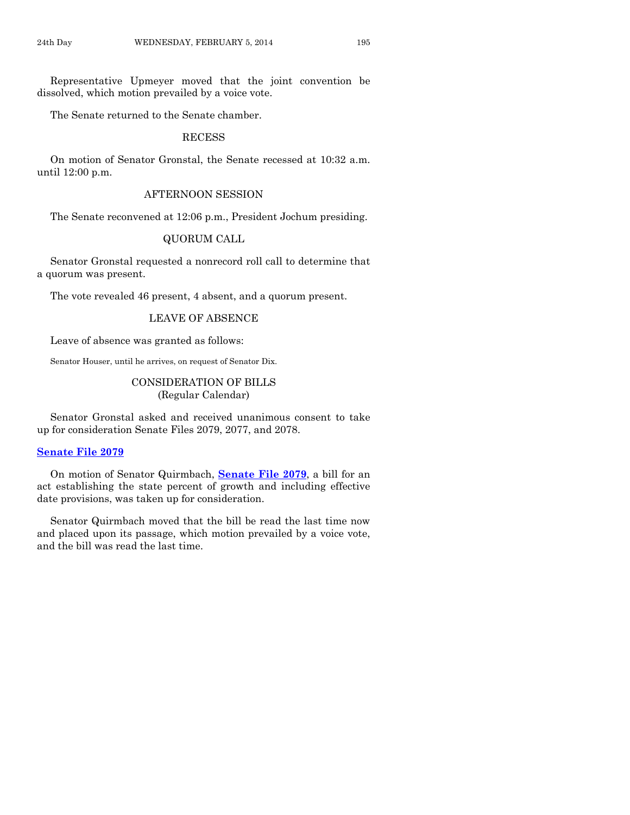Representative Upmeyer moved that the joint convention be dissolved, which motion prevailed by a voice vote.

The Senate returned to the Senate chamber.

## RECESS

On motion of Senator Gronstal, the Senate recessed at 10:32 a.m. until 12:00 p.m.

## AFTERNOON SESSION

The Senate reconvened at 12:06 p.m., President Jochum presiding.

## QUORUM CALL

Senator Gronstal requested a nonrecord roll call to determine that a quorum was present.

The vote revealed 46 present, 4 absent, and a quorum present.

## LEAVE OF ABSENCE

Leave of absence was granted as follows:

Senator Houser, until he arrives, on request of Senator Dix.

## CONSIDERATION OF BILLS (Regular Calendar)

Senator Gronstal asked and received unanimous consent to take up for consideration Senate Files 2079, 2077, and 2078.

## **[Senate File 2079](http://coolice.legis.iowa.gov/Cool-ICE/default.asp?Category=billinfo&Service=Billbook&frame=1&GA=85&hbill=SF2079)**

On motion of Senator Quirmbach, **[Senate File 2079](http://coolice.legis.iowa.gov/Cool-ICE/default.asp?Category=billinfo&Service=Billbook&frame=1&GA=85&hbill=SF2079)**, a bill for an act establishing the state percent of growth and including effective date provisions, was taken up for consideration.

Senator Quirmbach moved that the bill be read the last time now and placed upon its passage, which motion prevailed by a voice vote, and the bill was read the last time.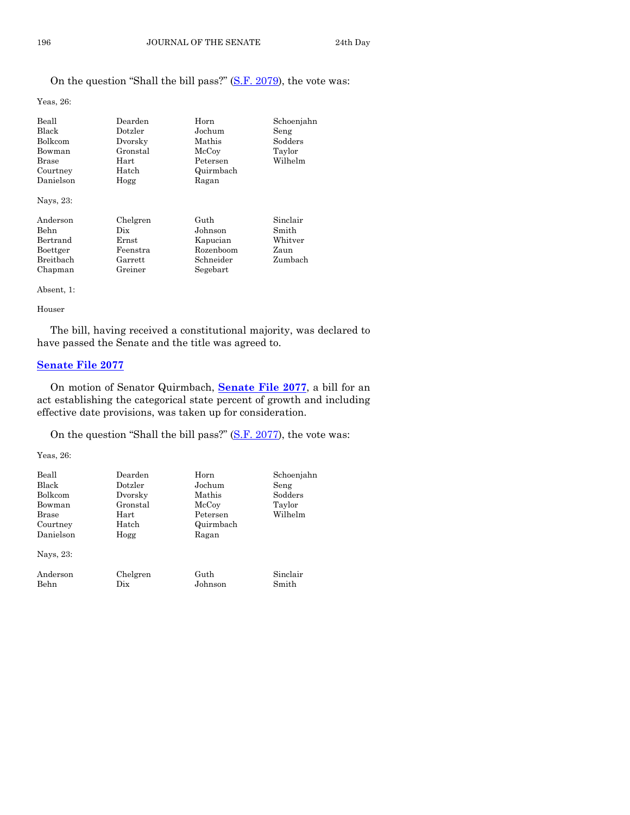## On the question "Shall the bill pass?" [\(S.F. 2079\)](http://coolice.legis.iowa.gov/Cool-ICE/default.asp?Category=billinfo&Service=Billbook&frame=1&GA=85&hbill=SF2079), the vote was:

Yeas, 26:

| Beall<br><b>Black</b><br>Bolkcom<br>Bowman<br>Brase<br>Courtney<br>Danielson | Dearden<br>Dotzler<br>Dvorsky<br>Gronstal<br>Hart<br>Hatch<br>Hogg | Horn<br>Jochum<br>Mathis<br>McCoy<br>Petersen<br>Quirmbach<br>Ragan | Schoenjahn<br>Seng<br>Sodders<br>Taylor<br>Wilhelm |
|------------------------------------------------------------------------------|--------------------------------------------------------------------|---------------------------------------------------------------------|----------------------------------------------------|
| Nays, 23:                                                                    |                                                                    |                                                                     |                                                    |
| Anderson<br><b>Behn</b>                                                      | Chelgren<br>Dix                                                    | Guth<br>Johnson                                                     | Sinclair<br>Smith                                  |
| Bertrand                                                                     | Ernst                                                              | Kapucian                                                            | Whitver                                            |
| Boettger                                                                     | Feenstra                                                           | Rozenboom                                                           | Zaun                                               |
| Breithach                                                                    | Garrett                                                            | Schneider                                                           | Zumbach                                            |
| Chapman                                                                      | Greiner                                                            | Segebart                                                            |                                                    |

Absent, 1:

Houser

The bill, having received a constitutional majority, was declared to have passed the Senate and the title was agreed to.

## **[Senate File 2077](http://coolice.legis.iowa.gov/Cool-ICE/default.asp?Category=billinfo&Service=Billbook&frame=1&GA=85&hbill=SF2077)**

On motion of Senator Quirmbach, **[Senate File 2077](http://coolice.legis.iowa.gov/Cool-ICE/default.asp?Category=billinfo&Service=Billbook&frame=1&GA=85&hbill=SF2077)**, a bill for an act establishing the categorical state percent of growth and including effective date provisions, was taken up for consideration.

On the question "Shall the bill pass?" [\(S.F. 2077\)](http://coolice.legis.iowa.gov/Cool-ICE/default.asp?Category=billinfo&Service=Billbook&frame=1&GA=85&hbill=SF2077), the vote was:

Yeas, 26:

| Beall     | Dearden  | Horn      | Schoenjahn |
|-----------|----------|-----------|------------|
| Black     | Dotzler  | Jochum    | Seng       |
| Bolkcom   | Dvorsky  | Mathis    | Sodders    |
| Bowman    | Gronstal | McCoy     | Taylor     |
| Brase     | Hart     | Petersen  | Wilhelm    |
| Courtney  | Hatch    | Quirmbach |            |
| Danielson | Hogg     | Ragan     |            |
| Nays, 23: |          |           |            |
| Anderson  | Chelgren | Guth      | Sinclair   |
| Behn      | Dix      | Johnson   | Smith      |
|           |          |           |            |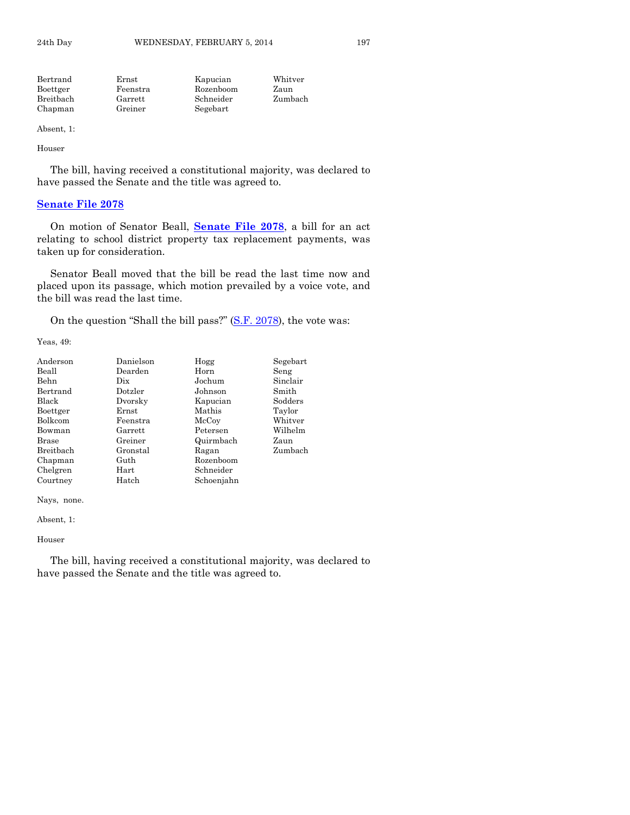| Ernst    | Kapucian  | Whitver  |
|----------|-----------|----------|
| Feenstra | Rozenboom | Zaun     |
| Garrett  | Schneider | Zumbach  |
| Greiner  |           |          |
|          |           | Segebart |

Absent, 1:

Houser

The bill, having received a constitutional majority, was declared to have passed the Senate and the title was agreed to.

## **[Senate File 2078](http://coolice.legis.iowa.gov/Cool-ICE/default.asp?Category=billinfo&Service=Billbook&frame=1&GA=85&hbill=SF2078)**

On motion of Senator Beall, **[Senate File 2078](http://coolice.legis.iowa.gov/Cool-ICE/default.asp?Category=billinfo&Service=Billbook&frame=1&GA=85&hbill=SF2078)**, a bill for an act relating to school district property tax replacement payments, was taken up for consideration.

Senator Beall moved that the bill be read the last time now and placed upon its passage, which motion prevailed by a voice vote, and the bill was read the last time.

On the question "Shall the bill pass?" [\(S.F. 2078\)](http://coolice.legis.iowa.gov/Cool-ICE/default.asp?Category=billinfo&Service=Billbook&frame=1&GA=85&hbill=SF2078), the vote was:

Yeas, 49:

| Anderson  | Danielson | Hogg       | Segebart |
|-----------|-----------|------------|----------|
| Beall     | Dearden   | Horn       | Seng     |
| Behn      | Dix       | Jochum     | Sinclair |
| Bertrand  | Dotzler   | Johnson    | Smith    |
| Black     | Dvorsky   | Kapucian   | Sodders  |
| Boettger  | Ernst     | Mathis     | Taylor   |
| Bolkcom   | Feenstra  | McCoy      | Whitver  |
| Bowman    | Garrett   | Petersen   | Wilhelm  |
| Brase     | Greiner   | Quirmbach  | Zaun     |
| Breitbach | Gronstal  | Ragan      | Zumbach  |
| Chapman   | Guth      | Rozenboom  |          |
| Chelgren  | Hart      | Schneider  |          |
| Courtney  | Hatch     | Schoenjahn |          |

Nays, none.

Absent, 1:

Houser

The bill, having received a constitutional majority, was declared to have passed the Senate and the title was agreed to.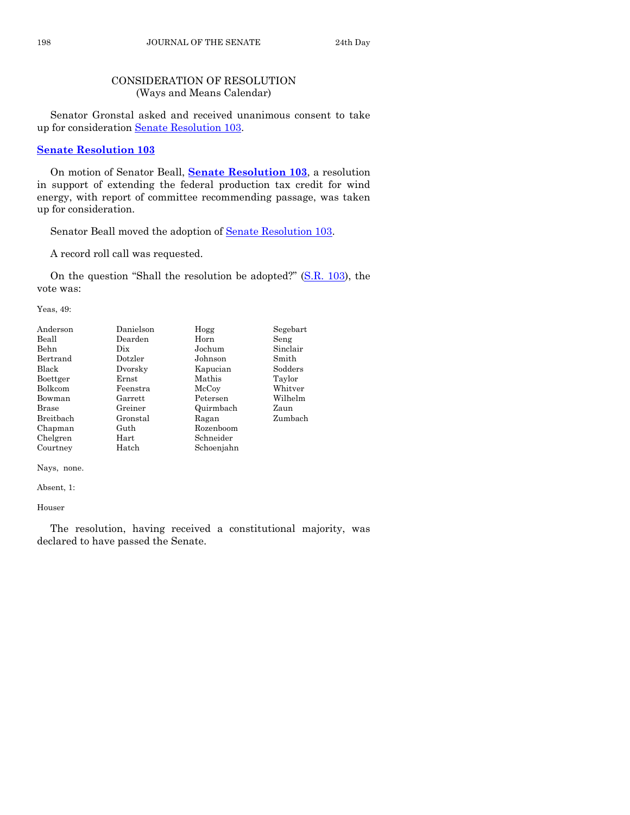## CONSIDERATION OF RESOLUTION (Ways and Means Calendar)

Senator Gronstal asked and received unanimous consent to take up for consideration [Senate Resolution 103.](http://coolice.legis.iowa.gov/Cool-ICE/default.asp?Category=billinfo&Service=Billbook&frame=1&GA=85&hbill=SR103)

## **[Senate Resolution 103](http://coolice.legis.iowa.gov/Cool-ICE/default.asp?Category=billinfo&Service=Billbook&frame=1&GA=85&hbill=SR103)**

On motion of Senator Beall, **Senate [Resolution 103](http://coolice.legis.iowa.gov/Cool-ICE/default.asp?Category=billinfo&Service=Billbook&frame=1&GA=85&hbill=SR103)**, a resolution in support of extending the federal production tax credit for wind energy, with report of committee recommending passage, was taken up for consideration.

Senator Beall moved the adoption of [Senate Resolution 103.](http://coolice.legis.iowa.gov/Cool-ICE/default.asp?Category=billinfo&Service=Billbook&frame=1&GA=85&hbill=SR103)

A record roll call was requested.

On the question "Shall the resolution be adopted?" [\(S.R. 103\)](http://coolice.legis.iowa.gov/Cool-ICE/default.asp?Category=billinfo&Service=Billbook&frame=1&GA=85&hbill=SR103), the vote was:

Yeas, 49:

| Anderson     | Danielson | Hogg       | Segebart |
|--------------|-----------|------------|----------|
| Beall        | Dearden   | Horn       | Seng     |
| Behn         | Dix       | Jochum     | Sinclair |
| Bertrand     | Dotzler   | Johnson    | Smith    |
| Black        | Dvorsky   | Kapucian   | Sodders  |
| Boettger     | Ernst     | Mathis     | Taylor   |
| Bolkcom      | Feenstra  | McCoy      | Whitver  |
| Bowman       | Garrett   | Petersen   | Wilhelm  |
| <b>Brase</b> | Greiner   | Quirmbach  | Zaun     |
| Breitbach    | Gronstal  | Ragan      | Zumbach  |
| Chapman      | Guth      | Rozenboom  |          |
| Chelgren     | Hart      | Schneider  |          |
| Courtney     | Hatch     | Schoenjahn |          |

Nays, none.

Absent, 1:

Houser

The resolution, having received a constitutional majority, was declared to have passed the Senate.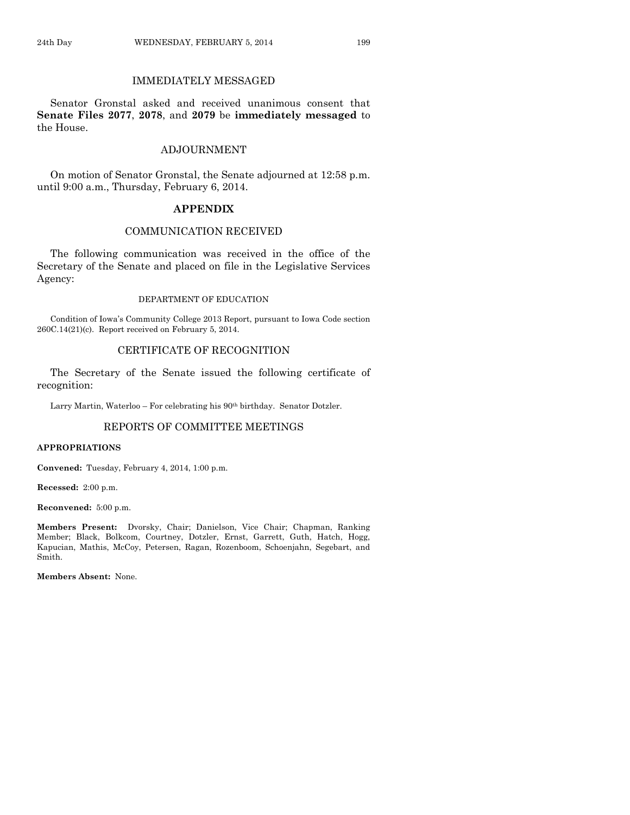## IMMEDIATELY MESSAGED

Senator Gronstal asked and received unanimous consent that **Senate Files 2077**, **2078**, and **2079** be **immediately messaged** to the House.

## ADJOURNMENT

On motion of Senator Gronstal, the Senate adjourned at 12:58 p.m. until 9:00 a.m., Thursday, February 6, 2014.

## **APPENDIX**

## COMMUNICATION RECEIVED

The following communication was received in the office of the Secretary of the Senate and placed on file in the Legislative Services Agency:

#### DEPARTMENT OF EDUCATION

Condition of Iowa's Community College 2013 Report, pursuant to Iowa Code section 260C.14(21)(c). Report received on February 5, 2014.

## CERTIFICATE OF RECOGNITION

The Secretary of the Senate issued the following certificate of recognition:

Larry Martin, Waterloo - For celebrating his 90<sup>th</sup> birthday. Senator Dotzler.

## REPORTS OF COMMITTEE MEETINGS

#### **APPROPRIATIONS**

**Convened:** Tuesday, February 4, 2014, 1:00 p.m.

**Recessed:** 2:00 p.m.

**Reconvened:** 5:00 p.m.

**Members Present:** Dvorsky, Chair; Danielson, Vice Chair; Chapman, Ranking Member; Black, Bolkcom, Courtney, Dotzler, Ernst, Garrett, Guth, Hatch, Hogg, Kapucian, Mathis, McCoy, Petersen, Ragan, Rozenboom, Schoenjahn, Segebart, and Smith.

**Members Absent:** None.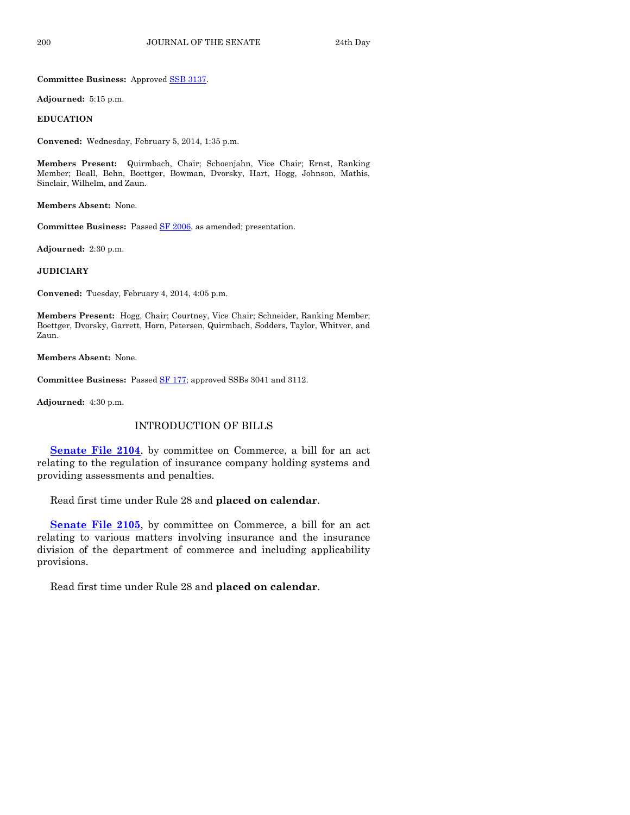**Committee Business:** Approved [SSB 3137.](http://coolice.legis.iowa.gov/Cool-ICE/default.asp?Category=billinfo&Service=Billbook&frame=1&GA=85&hbill=SSB3137)

**Adjourned:** 5:15 p.m.

#### **EDUCATION**

**Convened:** Wednesday, February 5, 2014, 1:35 p.m.

**Members Present:** Quirmbach, Chair; Schoenjahn, Vice Chair; Ernst, Ranking Member; Beall, Behn, Boettger, Bowman, Dvorsky, Hart, Hogg, Johnson, Mathis, Sinclair, Wilhelm, and Zaun.

**Members Absent:** None.

**Committee Business:** Passed [SF 2006,](http://coolice.legis.iowa.gov/Cool-ICE/default.asp?Category=billinfo&Service=Billbook&frame=1&GA=85&hbill=SF2006) as amended; presentation.

**Adjourned:** 2:30 p.m.

#### **JUDICIARY**

**Convened:** Tuesday, February 4, 2014, 4:05 p.m.

**Members Present:** Hogg, Chair; Courtney, Vice Chair; Schneider, Ranking Member; Boettger, Dvorsky, Garrett, Horn, Petersen, Quirmbach, Sodders, Taylor, Whitver, and Zaun.

**Members Absent:** None.

**Committee Business:** Passed [SF 177;](http://coolice.legis.iowa.gov/Cool-ICE/default.asp?Category=billinfo&Service=Billbook&frame=1&GA=85&hbill=SF177) approved SSBs 3041 and 3112.

**Adjourned:** 4:30 p.m.

## INTRODUCTION OF BILLS

**[Senate File 2104](http://coolice.legis.iowa.gov/Cool-ICE/default.asp?Category=billinfo&Service=Billbook&frame=1&GA=85&hbill=SF2104)**, by committee on Commerce, a bill for an act relating to the regulation of insurance company holding systems and providing assessments and penalties.

Read first time under Rule 28 and **placed on calendar**.

**[Senate File 2105](http://coolice.legis.iowa.gov/Cool-ICE/default.asp?Category=billinfo&Service=Billbook&frame=1&GA=85&hbill=SF2105)**, by committee on Commerce, a bill for an act relating to various matters involving insurance and the insurance division of the department of commerce and including applicability provisions.

Read first time under Rule 28 and **placed on calendar**.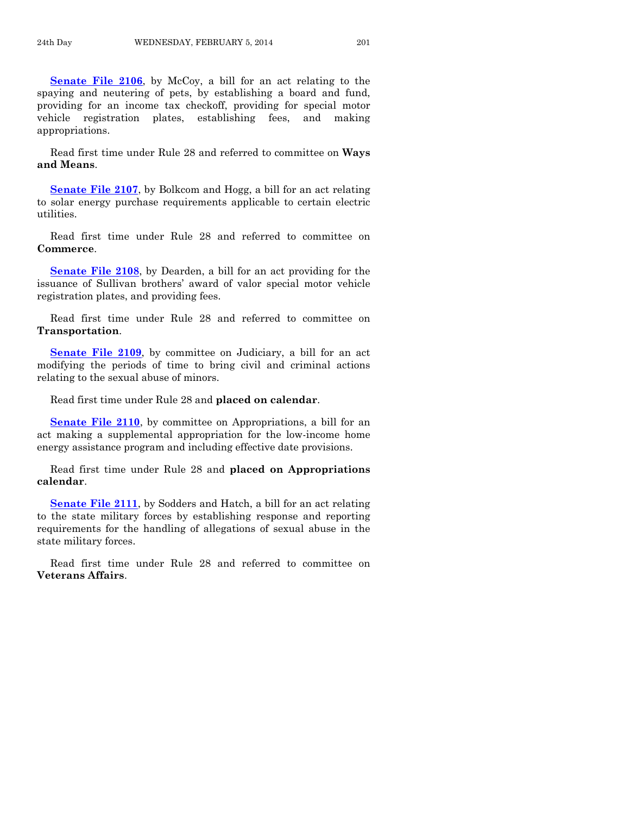**[Senate File 2106](http://coolice.legis.iowa.gov/Cool-ICE/default.asp?Category=billinfo&Service=Billbook&frame=1&GA=85&hbill=SF2106)**, by McCoy, a bill for an act relating to the spaying and neutering of pets, by establishing a board and fund, providing for an income tax checkoff, providing for special motor vehicle registration plates, establishing fees, and making appropriations.

Read first time under Rule 28 and referred to committee on **Ways and Means**.

**[Senate File 2107](http://coolice.legis.iowa.gov/Cool-ICE/default.asp?Category=billinfo&Service=Billbook&frame=1&GA=85&hbill=SF2107)**, by Bolkcom and Hogg, a bill for an act relating to solar energy purchase requirements applicable to certain electric utilities.

Read first time under Rule 28 and referred to committee on **Commerce**.

**[Senate File 2108](http://coolice.legis.iowa.gov/Cool-ICE/default.asp?Category=billinfo&Service=Billbook&frame=1&GA=85&hbill=SF2108)**, by Dearden, a bill for an act providing for the issuance of Sullivan brothers' award of valor special motor vehicle registration plates, and providing fees.

Read first time under Rule 28 and referred to committee on **Transportation**.

**[Senate File 2109](http://coolice.legis.iowa.gov/Cool-ICE/default.asp?Category=billinfo&Service=Billbook&frame=1&GA=85&hbill=SF2109)**, by committee on Judiciary, a bill for an act modifying the periods of time to bring civil and criminal actions relating to the sexual abuse of minors.

Read first time under Rule 28 and **placed on calendar**.

**[Senate File 2110](http://coolice.legis.iowa.gov/Cool-ICE/default.asp?Category=billinfo&Service=Billbook&frame=1&GA=85&hbill=SF2110)**, by committee on Appropriations, a bill for an act making a supplemental appropriation for the low-income home energy assistance program and including effective date provisions.

Read first time under Rule 28 and **placed on Appropriations calendar**.

**[Senate File 2111](http://coolice.legis.iowa.gov/Cool-ICE/default.asp?Category=billinfo&Service=Billbook&frame=1&GA=85&hbill=SF2111)**, by Sodders and Hatch, a bill for an act relating to the state military forces by establishing response and reporting requirements for the handling of allegations of sexual abuse in the state military forces.

Read first time under Rule 28 and referred to committee on **Veterans Affairs**.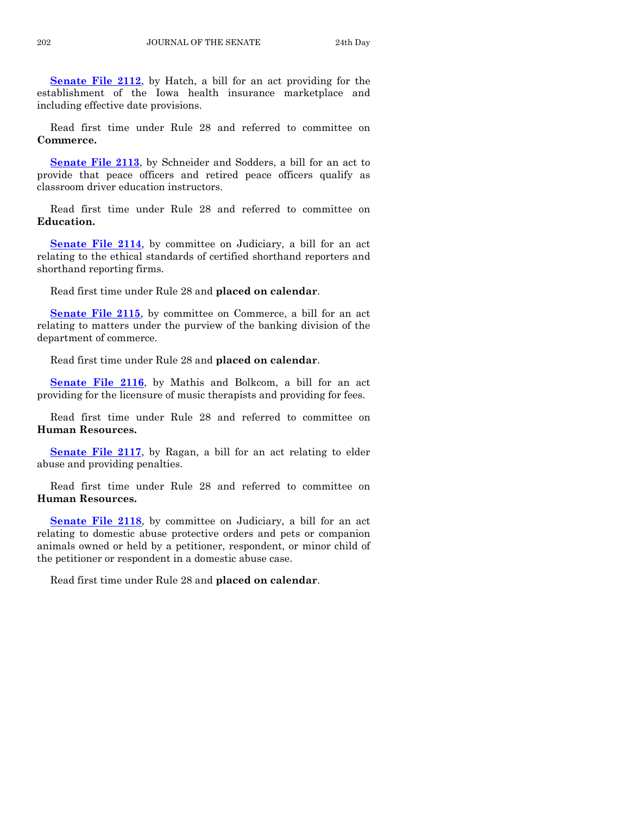**[Senate File 2112](http://coolice.legis.iowa.gov/Cool-ICE/default.asp?Category=billinfo&Service=Billbook&frame=1&GA=85&hbill=SF2112)**, by Hatch, a bill for an act providing for the establishment of the Iowa health insurance marketplace and including effective date provisions.

Read first time under Rule 28 and referred to committee on **Commerce.**

**[Senate File 2113](http://coolice.legis.iowa.gov/Cool-ICE/default.asp?Category=billinfo&Service=Billbook&frame=1&GA=85&hbill=SF2113)**, by Schneider and Sodders, a bill for an act to provide that peace officers and retired peace officers qualify as classroom driver education instructors.

Read first time under Rule 28 and referred to committee on **Education.**

**[Senate File 2114](http://coolice.legis.iowa.gov/Cool-ICE/default.asp?Category=billinfo&Service=Billbook&frame=1&GA=85&hbill=SF2114), by committee on Judiciary, a bill for an act** relating to the ethical standards of certified shorthand reporters and shorthand reporting firms.

Read first time under Rule 28 and **placed on calendar**.

**[Senate File 2115](http://coolice.legis.iowa.gov/Cool-ICE/default.asp?Category=billinfo&Service=Billbook&frame=1&GA=85&hbill=SF2115)**, by committee on Commerce, a bill for an act relating to matters under the purview of the banking division of the department of commerce.

Read first time under Rule 28 and **placed on calendar**.

**[Senate File 2116](http://coolice.legis.iowa.gov/Cool-ICE/default.asp?Category=billinfo&Service=Billbook&frame=1&GA=85&hbill=SF2116)**, by Mathis and Bolkcom, a bill for an act providing for the licensure of music therapists and providing for fees.

Read first time under Rule 28 and referred to committee on **Human Resources.**

**[Senate File 2117](http://coolice.legis.iowa.gov/Cool-ICE/default.asp?Category=billinfo&Service=Billbook&frame=1&GA=85&hbill=SF2117)**, by Ragan, a bill for an act relating to elder abuse and providing penalties.

Read first time under Rule 28 and referred to committee on **Human Resources.**

**[Senate File 2118](http://coolice.legis.iowa.gov/Cool-ICE/default.asp?Category=billinfo&Service=Billbook&frame=1&GA=85&hbill=SF2118)**, by committee on Judiciary, a bill for an act relating to domestic abuse protective orders and pets or companion animals owned or held by a petitioner, respondent, or minor child of the petitioner or respondent in a domestic abuse case.

Read first time under Rule 28 and **placed on calendar**.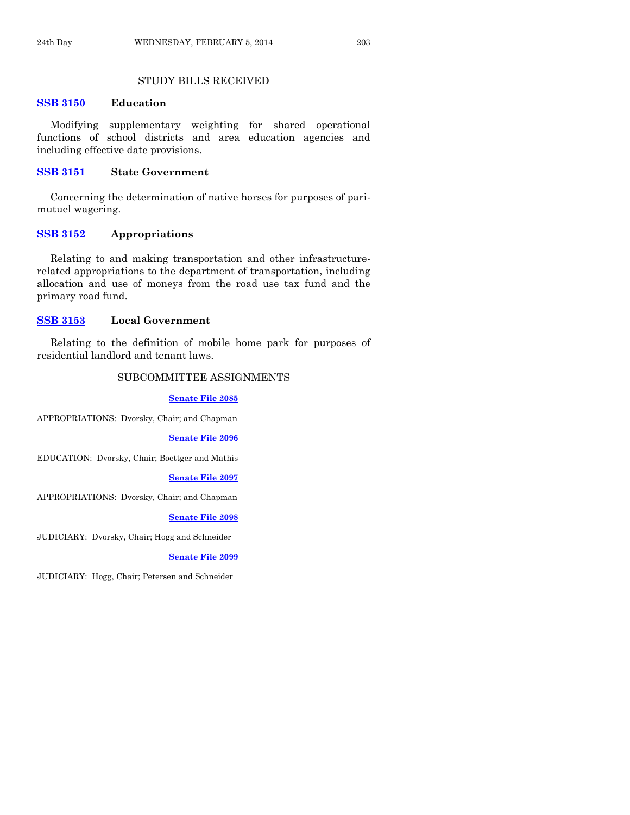## STUDY BILLS RECEIVED

## **[SSB 3150](http://coolice.legis.iowa.gov/Cool-ICE/default.asp?Category=billinfo&Service=Billbook&frame=1&GA=85&hbill=SSB3150) Education**

Modifying supplementary weighting for shared operational functions of school districts and area education agencies and including effective date provisions.

## **[SSB 3151](http://coolice.legis.iowa.gov/Cool-ICE/default.asp?Category=billinfo&Service=Billbook&frame=1&GA=85&hbill=SSB3151) State Government**

Concerning the determination of native horses for purposes of parimutuel wagering.

## **[SSB 3152](http://coolice.legis.iowa.gov/Cool-ICE/default.asp?Category=billinfo&Service=Billbook&frame=1&GA=85&hbill=SSB3152) Appropriations**

Relating to and making transportation and other infrastructurerelated appropriations to the department of transportation, including allocation and use of moneys from the road use tax fund and the primary road fund.

#### **[SSB 3153](http://coolice.legis.iowa.gov/Cool-ICE/default.asp?Category=billinfo&Service=Billbook&frame=1&GA=85&hbill=SSB3153) Local Government**

Relating to the definition of mobile home park for purposes of residential landlord and tenant laws.

## SUBCOMMITTEE ASSIGNMENTS

**[Senate File 2085](http://coolice.legis.iowa.gov/Cool-ICE/default.asp?Category=billinfo&Service=Billbook&frame=1&GA=85&hbill=SF2085)**

APPROPRIATIONS: Dvorsky, Chair; and Chapman

**[Senate File 2096](http://coolice.legis.iowa.gov/Cool-ICE/default.asp?Category=billinfo&Service=Billbook&frame=1&GA=85&hbill=SF2096)**

EDUCATION: Dvorsky, Chair; Boettger and Mathis

**[Senate File 2097](http://coolice.legis.iowa.gov/Cool-ICE/default.asp?Category=billinfo&Service=Billbook&frame=1&GA=85&hbill=SF2097)**

APPROPRIATIONS: Dvorsky, Chair; and Chapman

**[Senate File 2098](http://coolice.legis.iowa.gov/Cool-ICE/default.asp?Category=billinfo&Service=Billbook&frame=1&GA=85&hbill=SF2098)**

JUDICIARY: Dvorsky, Chair; Hogg and Schneider

**[Senate File 2099](http://coolice.legis.iowa.gov/Cool-ICE/default.asp?Category=billinfo&Service=Billbook&frame=1&GA=85&hbill=SF2099)**

JUDICIARY: Hogg, Chair; Petersen and Schneider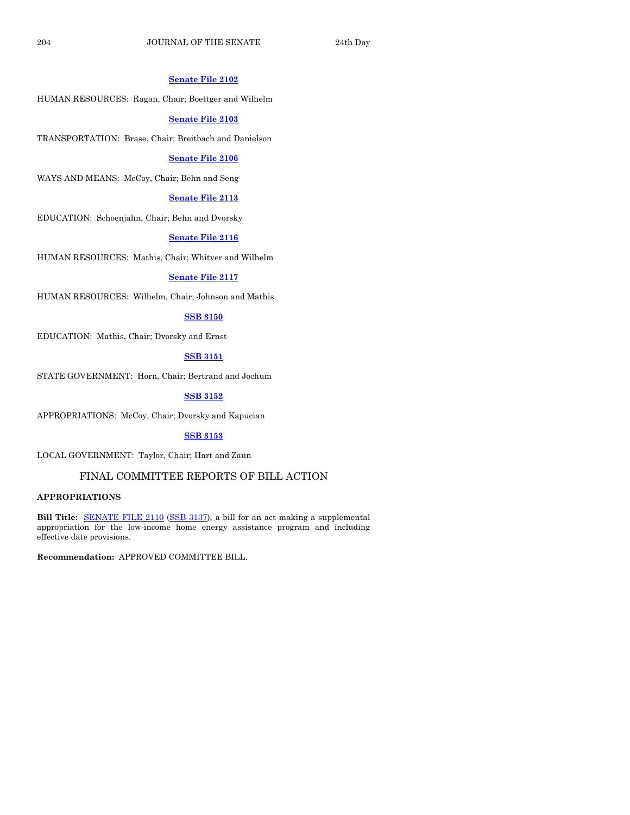#### **[Senate File 2102](http://coolice.legis.iowa.gov/Cool-ICE/default.asp?Category=billinfo&Service=Billbook&frame=1&GA=85&hbill=SF2102)**

HUMAN RESOURCES: Ragan, Chair; Boettger and Wilhelm

#### **[Senate File 2103](http://coolice.legis.iowa.gov/Cool-ICE/default.asp?Category=billinfo&Service=Billbook&frame=1&GA=85&hbill=SF2103)**

TRANSPORTATION: Brase, Chair; Breitbach and Danielson

#### **[Senate File 2106](http://coolice.legis.iowa.gov/Cool-ICE/default.asp?Category=billinfo&Service=Billbook&frame=1&GA=85&hbill=SF2106)**

WAYS AND MEANS: McCoy, Chair; Behn and Seng

#### **[Senate File 2113](http://coolice.legis.iowa.gov/Cool-ICE/default.asp?Category=billinfo&Service=Billbook&frame=1&GA=85&hbill=SF2113)**

EDUCATION: Schoenjahn, Chair; Behn and Dvorsky

#### **[Senate File 2116](http://coolice.legis.iowa.gov/Cool-ICE/default.asp?Category=billinfo&Service=Billbook&frame=1&GA=85&hbill=SF2116)**

HUMAN RESOURCES: Mathis, Chair; Whitver and Wilhelm

## **[Senate File 2117](http://coolice.legis.iowa.gov/Cool-ICE/default.asp?Category=billinfo&Service=Billbook&frame=1&GA=85&hbill=SF2117)**

HUMAN RESOURCES: Wilhelm, Chair; Johnson and Mathis

## **[SSB 3150](http://coolice.legis.iowa.gov/Cool-ICE/default.asp?Category=billinfo&Service=Billbook&frame=1&GA=85&hbill=SSB3150)**

EDUCATION: Mathis, Chair; Dvorsky and Ernst

## **[SSB 3151](http://coolice.legis.iowa.gov/Cool-ICE/default.asp?Category=billinfo&Service=Billbook&frame=1&GA=85&hbill=SSB3151)**

STATE GOVERNMENT: Horn, Chair; Bertrand and Jochum

## **[SSB 3152](http://coolice.legis.iowa.gov/Cool-ICE/default.asp?Category=billinfo&Service=Billbook&frame=1&GA=85&hbill=SSB3152)**

APPROPRIATIONS: McCoy, Chair; Dvorsky and Kapucian

## **[SSB 3153](http://coolice.legis.iowa.gov/Cool-ICE/default.asp?Category=billinfo&Service=Billbook&frame=1&GA=85&hbill=SSB3153)**

LOCAL GOVERNMENT: Taylor, Chair; Hart and Zaun

## FINAL COMMITTEE REPORTS OF BILL ACTION

## **APPROPRIATIONS**

**Bill Title:** [SENATE FILE 2110](http://coolice.legis.iowa.gov/Cool-ICE/default.asp?Category=billinfo&Service=Billbook&frame=1&GA=85&hbill=SF2110) [\(SSB 3137\)](http://coolice.legis.iowa.gov/Cool-ICE/default.asp?Category=billinfo&Service=Billbook&frame=1&GA=85&hbill=SSB3137), a bill for an act making a supplemental appropriation for the low-income home energy assistance program and including effective date provisions.

**Recommendation:** APPROVED COMMITTEE BILL.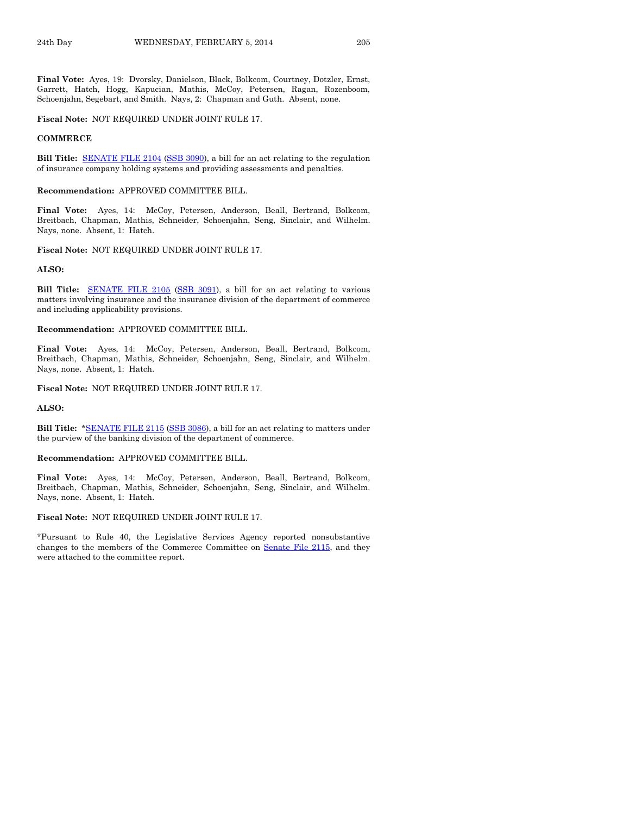**Final Vote:** Ayes, 19: Dvorsky, Danielson, Black, Bolkcom, Courtney, Dotzler, Ernst, Garrett, Hatch, Hogg, Kapucian, Mathis, McCoy, Petersen, Ragan, Rozenboom, Schoenjahn, Segebart, and Smith. Nays, 2: Chapman and Guth. Absent, none.

**Fiscal Note:** NOT REQUIRED UNDER JOINT RULE 17.

#### **COMMERCE**

**Bill Title:** [SENATE FILE 2104](http://coolice.legis.iowa.gov/Cool-ICE/default.asp?Category=billinfo&Service=Billbook&frame=1&GA=85&hbill=SF2104) [\(SSB 3090\)](http://coolice.legis.iowa.gov/Cool-ICE/default.asp?Category=billinfo&Service=Billbook&frame=1&GA=85&hbill=SSB3090), a bill for an act relating to the regulation of insurance company holding systems and providing assessments and penalties.

#### **Recommendation:** APPROVED COMMITTEE BILL.

**Final Vote:** Ayes, 14: McCoy, Petersen, Anderson, Beall, Bertrand, Bolkcom, Breitbach, Chapman, Mathis, Schneider, Schoenjahn, Seng, Sinclair, and Wilhelm. Nays, none. Absent, 1: Hatch.

#### **Fiscal Note:** NOT REQUIRED UNDER JOINT RULE 17.

#### **ALSO:**

**Bill Title:** [SENATE FILE 2105](http://coolice.legis.iowa.gov/Cool-ICE/default.asp?Category=billinfo&Service=Billbook&frame=1&GA=85&hbill=SF2105) [\(SSB 3091\),](http://coolice.legis.iowa.gov/Cool-ICE/default.asp?Category=billinfo&Service=Billbook&frame=1&GA=85&hbill=SSB3091) a bill for an act relating to various matters involving insurance and the insurance division of the department of commerce and including applicability provisions.

#### **Recommendation:** APPROVED COMMITTEE BILL.

**Final Vote:** Ayes, 14: McCoy, Petersen, Anderson, Beall, Bertrand, Bolkcom, Breitbach, Chapman, Mathis, Schneider, Schoenjahn, Seng, Sinclair, and Wilhelm. Nays, none. Absent, 1: Hatch.

#### **Fiscal Note:** NOT REQUIRED UNDER JOINT RULE 17.

#### **ALSO:**

**Bill Title:** [\\*SENATE FILE 2115](http://coolice.legis.iowa.gov/Cool-ICE/default.asp?Category=billinfo&Service=Billbook&frame=1&GA=85&hbill=SF2115) [\(SSB 3086\)](http://coolice.legis.iowa.gov/Cool-ICE/default.asp?Category=billinfo&Service=Billbook&frame=1&GA=85&hbill=SSB3086), a bill for an act relating to matters under the purview of the banking division of the department of commerce.

#### **Recommendation:** APPROVED COMMITTEE BILL.

**Final Vote:** Ayes, 14: McCoy, Petersen, Anderson, Beall, Bertrand, Bolkcom, Breitbach, Chapman, Mathis, Schneider, Schoenjahn, Seng, Sinclair, and Wilhelm. Nays, none. Absent, 1: Hatch.

#### **Fiscal Note:** NOT REQUIRED UNDER JOINT RULE 17.

\*Pursuant to Rule 40, the Legislative Services Agency reported nonsubstantive changes to the members of the Commerce Committee on Senate [File 2115,](http://coolice.legis.iowa.gov/Cool-ICE/default.asp?Category=billinfo&Service=Billbook&frame=1&GA=85&hbill=SF2115) and they were attached to the committee report.